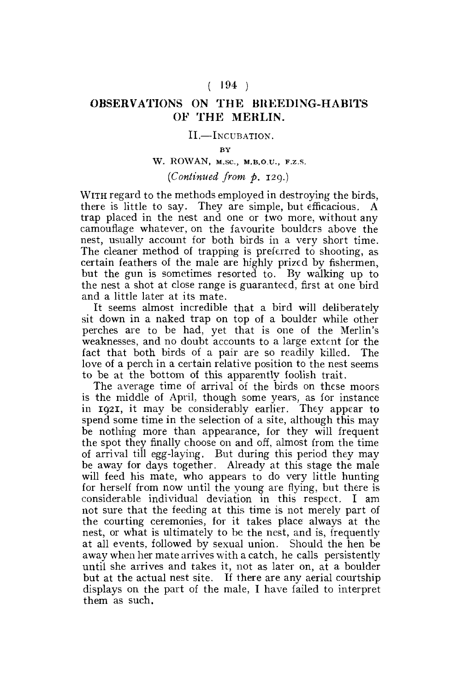## $(194)$

## **OBSERVATIONS ON THE BREEDING-HABITS OF THE MERLIN.**

#### **II.**—INCUBATION.

#### BY

## W. ROWAN, M.Sc., M.B.O.U., F.Z.S.

# *(Continued from p.* 129.)

WITH regard to the methods employed in destroying the birds, there is little to say. They are simple, but efficacious. A trap placed in the nest and one or two more, without any camouflage whatever, on the favourite boulders above the nest, usually account for both birds in a very short time. The cleaner method of trapping is preferred to shooting, as certain feathers of the male are highly prized by fishermen, but the gun is sometimes resorted to. By walking up to the nest a shot at close range is guaranteed, first at one bird and a little later at its mate.

It seems almost incredible that a bird will deliberately sit down in a naked trap on top of a boulder while other perches are to be had, yet that is one of the Merlin's weaknesses, and no doubt accounts to a large extent for the fact that both birds of a pair are so readily killed. The love of a perch in a certain relative position to the nest seems to be at the bottom of this apparently foolish trait.

The average time of arrival of the birds on these moors is the middle of April, though some years, as for instance in 1921, it may be considerably earlier. They appear to spend some time in the selection of a site, although this may be nothing more than appearance, for they will frequent the spot they finally choose on and off, almost from the time of arrival till egg-laying. But during this period they may be away for days together. Already at this stage the male will feed his mate, who appears to do very little hunting for herself from now until the young are flying, but there is considerable individual deviation in this respect. I am not sure that the feeding at this time is not merely part of the courting ceremonies, for it takes place always at the nest, or what is ultimately to be the nest, and is, frequently at all events, followed by sexual union. Should the hen be away when her mate arrives with a catch, he calls persistently until she arrives and takes it, not as later on, at a boulder but at the actual nest site. If there are any aerial courtship displays on the part of the male, I have failed to interpret them as such.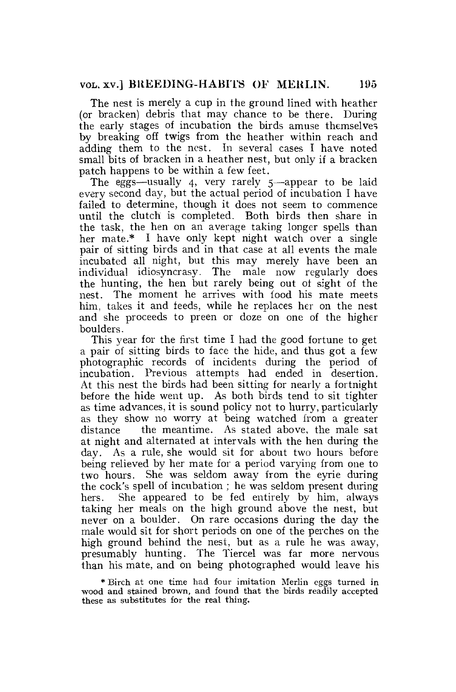The nest is merely a cup in the ground lined with heather (or bracken) debris that may chance to be there. During the early stages of incubation the birds amuse themselves by breaking off twigs from the heather within reach and adding them to the nest. In several cases I have noted small bits of bracken in a heather nest, but only if a bracken patch happens to be within a few feet.

The eggs—usually 4, very rarely 5—appear to be laid every second day, but the actual period of incubation I have failed to determine, though it does not seem to commence until the clutch is completed. Both birds then share in the task, the hen on an average taking longer spells than her mate.\* I have only kept night watch over a single pair of sitting birds and in that case at all events the male incubated all night, but this may merely have been an individual idiosyncrasy. The male now regularly does the hunting, the hen but rarely being out of sight of the nest. The moment he arrives with food his mate meets him, takes it and feeds, while he replaces her on the nest and she proceeds to preen or doze on one of the higher boulders.

This year for the first time I had the good fortune to get a pair of sitting birds to face the hide, and thus got a few photographic records of incidents during the period of incubation. Previous attempts had ended in desertion. At this nest the birds had been sitting for nearly a fortnight before the hide went up. As both birds tend to sit tighter as time advances, it is sound policy not to hurry, particularly as they show no worry at being watched from a greater distance the meantime. As stated above, the male sat at night and alternated at intervals with the hen during the day. As a rule, she would sit for about two hours before being relieved by her mate for a period varying from one to two hours. She was seldom away from the eyrie during the cock's spell of incubation ; he was seldom present during hers. She appeared to be fed entirely by him, always taking her meals on the high ground above the nest, but never on a boulder. On rare occasions during the day the male would sit for short periods on one of the perches on the high ground behind the nest, but as a rule he was away, presumably hunting. The Tiercel was far more nervous than his mate, and on being photographed would leave his

\* Birch at one time had four imitation Merlin eggs turned in wood and stained brown, and found that the birds readily accepted these as substitutes for the real thing.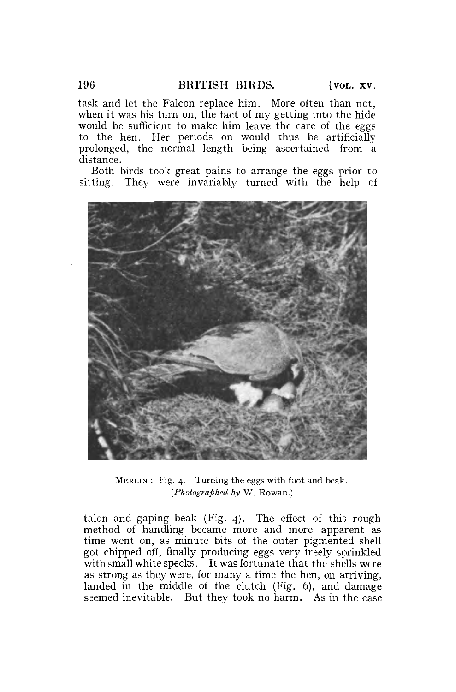task and let the Falcon replace him. More often than not, when it was his turn on, the tact of my getting into the hide would be sufficient to make him leave the care of the eggs to the hen. Her periods on would thus be artificially prolonged, the normal length being ascertained from a distance.

Both birds took great pains to arrange the eggs prior to sitting. They were invariably turned with the help of



MERLIN : Fig. 4. Turning the eggs with foot and beak. *(Photographed by* W. Rowan.)

talon and gaping beak (Fig. 4). The effect of this rough method of handling became more and more apparent as time went on, as minute bits of the outer pigmented shell got chipped off, finally producing eggs very freely sprinkled with small white specks. It was fortunate that the shells were as strong as they were, for many a time the hen, on arriving, landed in the middle of the clutch (Fig. 6), and damage seemed inevitable. But they took no harm. As in the case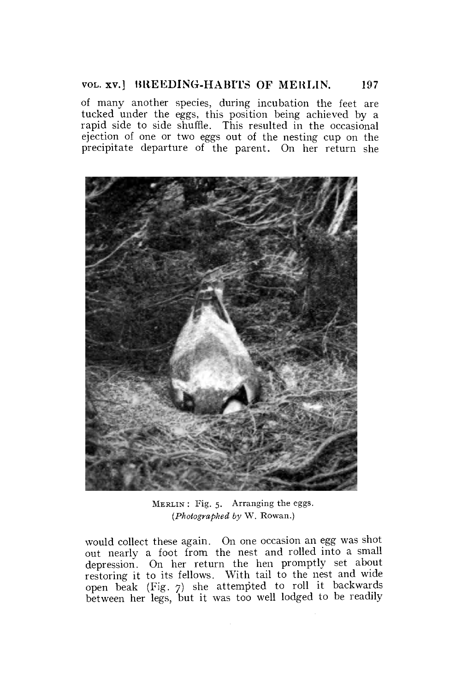### VOL. XV.] BREEDING-HABITS OF MERLIN. 197

of many another species, during incubation the feet are tucked under the eggs, this position being achieved by a rapid side to side shuffle. This resulted in the occasional ejection of one or two eggs out of the nesting cup on the precipitate departure of the parent. On her return she



MERLIN : Fig. 5. Arranging the eggs. *(Photographed by* W. Rowan.)

would collect these again. On one occasion an egg was shot out nearly a foot from the nest and rolled into a small depression. On her return the hen promptly set about restoring it to its fellows. With tail to the nest and wide open beak (Fig. 7) she attempted to roll it backwards between her legs, but it was too well lodged to be readily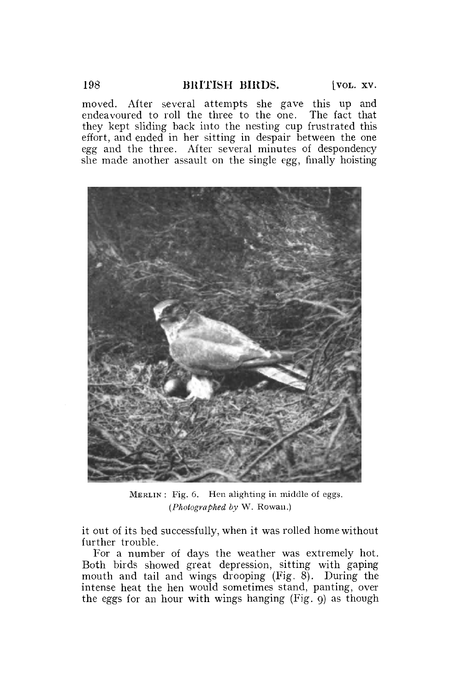moved. After several attempts she gave this up **and**  endeavoured to roll the three to the one. The fact that they kept sliding back into the nesting cup frustrated this effort, and ended in her sitting in despair between the one egg and the three. After several minutes of despondency she made another assault on the single egg, finally hoisting



MERLIN : Fig. 6. Hen alighting in middle of eggs. *(Photographed by* W. Rowan.)

it out of its bed successfully, when it was rolled home without further trouble.

For a number of days the weather was extremely hot. Both birds showed great depression, sitting with gaping mouth and tail and wings drooping (Fig. 8). During the intense heat the hen would sometimes stand, panting, over the eggs for an hour with wings hanging  $(Fig, g)$  as though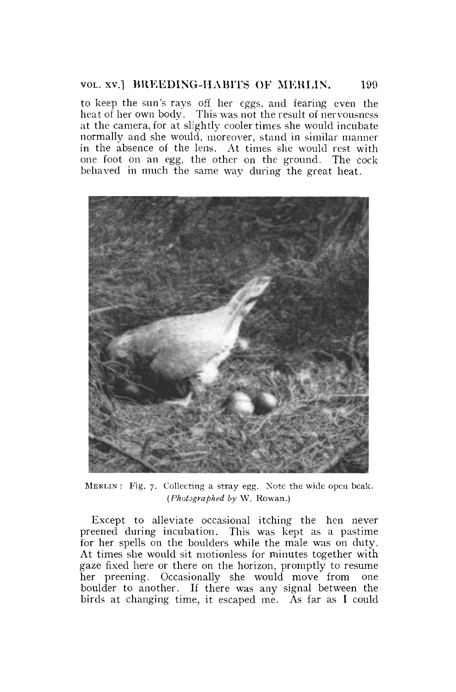#### VOL. XV.] BREEDING-HABITS OF MERLIN. 199

to keep the sun's rays off her eggs, and fearing even the heat of her own body. This was not the result of nervousness at the camera, for at slightly cooler times she would incubate normally and she would, moreover, stand in similar manner in the absence of the lens. At times she would rest with one foot on an egg, the other on the ground. The cock behaved in much the same way during the great heat.



MERLIN : Fig. 7. Collecting a stray egg. Note the wide open beak. *(Photographed by* W. Rowan.)

Except to alleviate occasional itching the hen never preened during incubation. This was kept as a pastime for her spells on the boulders while the male was on duty. At times she would sit motionless for minutes together with gaze fixed here or there on the horizon, promptly to resume her preening. Occasionally she would move from one boulder to another. If there was any signal between the birds at changing time, it escaped me. As far as I could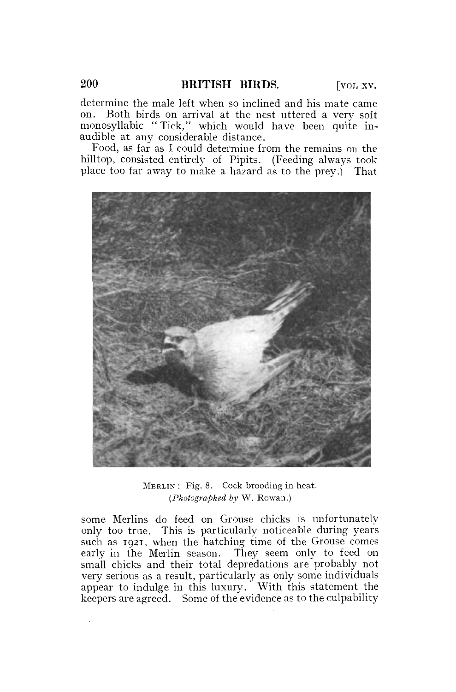determine the male left when so inclined and his mate came on. Both birds on arrival at the nest uttered a very soft monosyllabic "Tick," which would have been quite inaudible at any considerable distance.

Food, as far as I could determine from the remains on the hilltop, consisted entirely of Pipits. (Feeding always took place too far away to make a hazard as to the prey.) That



MERLIN : Fig. 8. Cock brooding in heat. *(Photographed by* W. Rowan.)

some Merlins do feed on Grouse chicks is unfortunately only too true. This is particularly noticeable during years such as 1921, when the hatching time of the Grouse comes early in the Merlin season. They seem only to feed on small chicks and their total depredations are probably not very serious as a result, particularly as only some individuals appear to indulge in this luxury. With this statement the keepers are agreed. Some of the evidence as to the culpability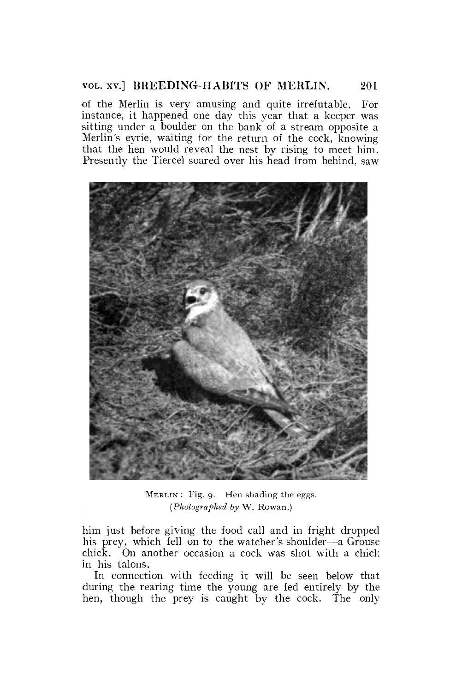#### VOL. xv.] BREEDING-HABITS OF MERLIN. 201

of the Merlin is very amusing and quite irrefutable. For instance, it happened one day this year that a keeper was sitting under a boulder on the bank of a stream opposite a Merlin's eyrie, waiting for the return of the cock, knowing that the hen would reveal the nest by rising to meet him. Presently the Tiercel soared over his head from behind, saw



MERLIN : Fig. 9. Hen shading the eggs. *(Photographed by* W. Rowan.)

him just before giving the food call and in fright dropped his prey, which fell on to the watcher's shoulder—a Grouse chick. On another occasion a cock was shot with a chick in his talons.

In connection with feeding it will be seen below that during the rearing time the young are fed entirely by the hen, though the prey is caught by the cock. The only